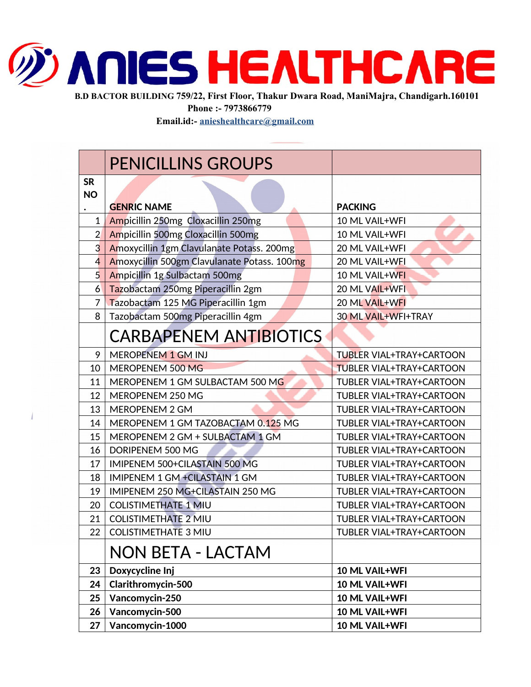

 **B.D BACTOR BUILDING 759/22, First Floor, Thakur Dwara Road, ManiMajra, Chandigarh.160101**

**Phone :- 7973866779**

**Email.id:- [anieshealthcare@gmail.com](mailto:anieshealthcare@gmail.com)**

|                | <b>PENICILLINS GROUPS</b>                   |                                 |  |
|----------------|---------------------------------------------|---------------------------------|--|
| <b>SR</b>      |                                             |                                 |  |
| <b>NO</b>      |                                             |                                 |  |
| $\bullet$      | <b>GENRIC NAME</b>                          | <b>PACKING</b>                  |  |
| 1              | Ampicillin 250mg Cloxacillin 250mg          | 10 ML VAIL+WFI                  |  |
| $\overline{2}$ | Ampicillin 500mg Cloxacillin 500mg          | 10 ML VAIL+WFI                  |  |
| 3              | Amoxycillin 1gm Clavulanate Potass. 200mg   | 20 ML VAIL+WFI                  |  |
| $\overline{4}$ | Amoxycillin 500gm Clavulanate Potass. 100mg | 20 ML VAIL+WEI                  |  |
| $\overline{5}$ | Ampicillin 1g Sulbactam 500mg               | 10 ML VAIL+WFI                  |  |
| 6              | Tazobactam 250mg Piperacillin 2gm           | 20 ML VAIL+WFI                  |  |
| $\overline{7}$ | Tazobactam 125 MG Piperacillin 1gm          | 20 ML VAIL+WFI                  |  |
| 8              | Tazobactam 500mg Piperacillin 4gm           | 30 ML VAIL+WFI+TRAY             |  |
|                | <b>CARBAPENEM ANTIBIOTICS</b>               |                                 |  |
| 9              | MEROPENEM 1 GM INJ                          | <b>TUBLER VIAL+TRAY+CARTOON</b> |  |
| 10             | MEROPENEM 500 MG                            | <b>TUBLER VIAL+TRAY+CARTOON</b> |  |
| 11             | MEROPENEM 1 GM SULBACTAM 500 MG             | <b>TUBLER VIAL+TRAY+CARTOON</b> |  |
| 12             | MEROPENEM 250 MG                            | <b>TUBLER VIAL+TRAY+CARTOON</b> |  |
| 13             | MEROPENEM 2 GM                              | <b>TUBLER VIAL+TRAY+CARTOON</b> |  |
| 14             | MEROPENEM 1 GM TAZOBACTAM 0.125 MG          | <b>TUBLER VIAL+TRAY+CARTOON</b> |  |
| 15             | MEROPENEM 2 GM + SULBACTAM 1 GM             | <b>TUBLER VIAL+TRAY+CARTOON</b> |  |
| 16             | DORIPENEM 500 MG                            | <b>TUBLER VIAL+TRAY+CARTOON</b> |  |
| 17             | IMIPENEM 500+CILASTAIN 500 MG               | <b>TUBLER VIAL+TRAY+CARTOON</b> |  |
| 18             | <b>IMIPENEM 1 GM +CILASTAIN 1 GM</b>        | <b>TUBLER VIAL+TRAY+CARTOON</b> |  |
| 19             | IMIPENEM 250 MG+CILASTAIN 250 MG            | <b>TUBLER VIAL+TRAY+CARTOON</b> |  |
| 20             | <b>COLISTIMETHATE 1 MIU</b>                 | <b>TUBLER VIAL+TRAY+CARTOON</b> |  |
| 21             | <b>COLISTIMETHATE 2 MIU</b>                 | <b>TUBLER VIAL+TRAY+CARTOON</b> |  |
| 22             | <b>COLISTIMETHATE 3 MIU</b>                 | <b>TUBLER VIAL+TRAY+CARTOON</b> |  |
|                | <b>NON BETA - LACTAM</b>                    |                                 |  |
| 23             | Doxycycline Inj                             | 10 ML VAIL+WFI                  |  |
| 24             | <b>Clarithromycin-500</b>                   | 10 ML VAIL+WFI                  |  |
| 25             | Vancomycin-250                              | 10 ML VAIL+WFI                  |  |
| 26             | Vancomycin-500                              | 10 ML VAIL+WFI                  |  |
| 27             | Vancomycin-1000                             | 10 ML VAIL+WFI                  |  |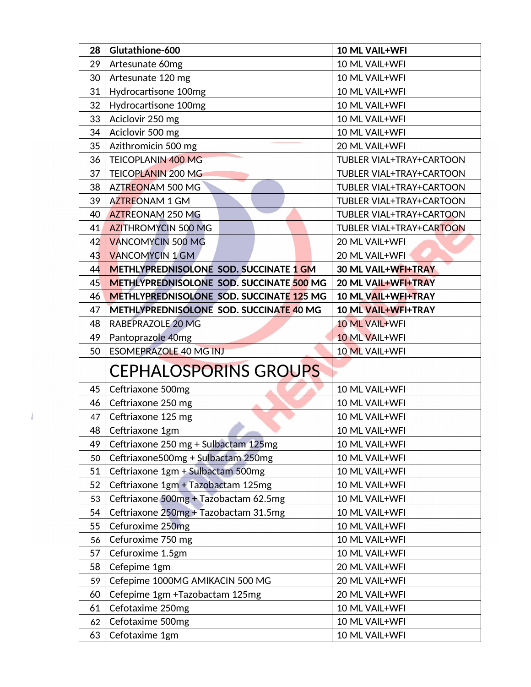| 28 | Glutathione-600                                 | 10 ML VAIL+WFI                  |
|----|-------------------------------------------------|---------------------------------|
| 29 | Artesunate 60mg                                 | 10 ML VAIL+WFI                  |
| 30 | Artesunate 120 mg                               | 10 ML VAIL+WFI                  |
| 31 | Hydrocartisone 100mg                            | 10 ML VAIL+WFI                  |
| 32 | Hydrocartisone 100mg                            | 10 ML VAIL+WFI                  |
| 33 | Aciclovir 250 mg                                | 10 ML VAIL+WFI                  |
| 34 | Aciclovir 500 mg                                | 10 ML VAIL+WFI                  |
| 35 | Azithromicin 500 mg                             | 20 ML VAIL+WFI                  |
| 36 | <b>TEICOPLANIN 400 MG</b>                       | <b>TUBLER VIAL+TRAY+CARTOON</b> |
| 37 | <b>TEICOPLANIN 200 MG</b>                       | TUBLER VIAL+TRAY+CARTOON        |
| 38 | AZTREONAM 500 MG                                | <b>TUBLER VIAL+TRAY+CARTOON</b> |
| 39 | <b>AZTREONAM 1 GM</b>                           | TUBLER VIAL+TRAY+CARTOON        |
| 40 | <b>AZTREONAM 250 MG</b>                         | TUBLER VIAL+TRAY+CARTOON        |
| 41 | <b>AZITHROMYCIN 500 MG</b>                      | <b>TUBLER VIAL+TRAY+CARTOON</b> |
| 42 | <b>VANCOMYCIN 500 MG</b>                        | 20 ML VAIL+WFI                  |
| 43 | <b>VANCOMYCIN 1 GM</b>                          | 20 ML VAIL+WFI                  |
| 44 | METHLYPREDNISOLONE SOD. SUCCINATE 1 GM          | <b>30 ML VAIL+WFI+TRAY</b>      |
| 45 | <b>METHLYPREDNISOLONE SOD. SUCCINATE 500 MG</b> | 20 ML VAIL+WFI+TRAY             |
| 46 | <b>METHLYPREDNISOLONE SOD. SUCCINATE 125 MG</b> | 10 ML VAIL+WFI+TRAY             |
| 47 | METHLYPREDNISOLONE SOD. SUCCINATE 40 MG         | <b>10 ML VAIL+WFI+TRAY</b>      |
| 48 | RABEPRAZOLE 20 MG                               | 10 ML VAIL+WFI                  |
| 49 | Pantoprazole 40mg                               | 10 ML VAIL+WFI                  |
| 50 | <b>ESOMEPRAZOLE 40 MG INJ</b>                   | 10 ML VAIL+WFI                  |
|    | <b>CEPHALOSPORINS GROUPS</b>                    |                                 |
| 45 | Ceftriaxone 500mg                               | 10 ML VAIL+WFI                  |
| 46 | Ceftriaxone 250 mg                              | 10 ML VAIL+WFI                  |
| 47 | Ceftriaxone 125 mg                              | 10 ML VAIL+WFI                  |
| 48 | Ceftriaxone 1gm                                 | 10 ML VAIL+WFI                  |
| 49 | Ceftriaxone 250 mg + Sulbactam 125mg            | 10 ML VAIL+WFI                  |
| 50 | Ceftriaxone500mg + Sulbactam 250mg              | 10 ML VAIL+WFI                  |
| 51 | Ceftriaxone 1gm + Sulbactam 500mg               | 10 ML VAIL+WFI                  |
| 52 | Ceftriaxone 1gm + Tazobactam 125mg              | 10 ML VAIL+WFI                  |
| 53 | Ceftriaxone 500mg + Tazobactam 62.5mg           | 10 ML VAIL+WFI                  |
| 54 | Ceftriaxone 250mg + Tazobactam 31.5mg           | 10 ML VAIL+WFI                  |
| 55 | Cefuroxime 250mg                                | 10 ML VAIL+WFI                  |
| 56 | Cefuroxime 750 mg                               | 10 ML VAIL+WFI                  |
| 57 | Cefuroxime 1.5gm                                | 10 ML VAIL+WFI                  |
| 58 | Cefepime 1gm                                    | 20 ML VAIL+WFI                  |
| 59 | Cefepime 1000MG AMIKACIN 500 MG                 | 20 ML VAIL+WFI                  |
| 60 | Cefepime 1gm +Tazobactam 125mg                  | 20 ML VAIL+WFI                  |
| 61 | Cefotaxime 250mg                                | 10 ML VAIL+WFI                  |
| 62 | Cefotaxime 500mg                                | 10 ML VAIL+WFI                  |
| 63 | Cefotaxime 1gm                                  | 10 ML VAIL+WFI                  |

 $\overline{I}$